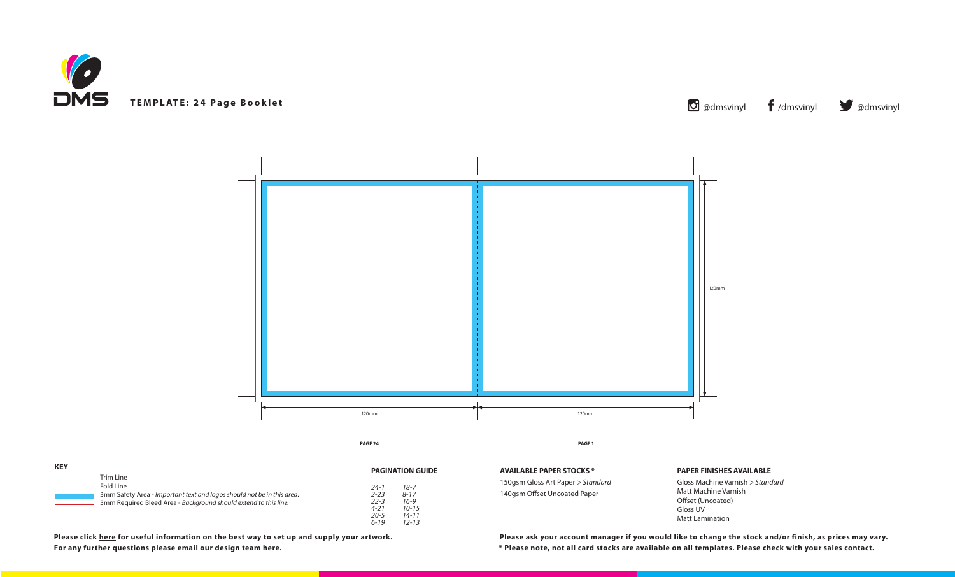



Gloss Machine Varnish *> Standard* Matt Machine Varnish Offset (Uncoated) Gloss UV Matt Lamination

**\* Please note, not all card stocks are available on all templates. Please check with your sales contact. Please click [here](https://www.discmanufacturingservices.com/cd/templates#artwork-specifications) for useful information on the best way to set up and supply your artwork. Please ask your account manager if you would like to change the stock and/or finish, as prices may vary.**

**STOCKS \*** 

**For any further questions please email our design team [here](mailto:graphics%40discmanufacturingservices.com?subject=Template%20Enquiry).**

| <b>KEY</b>                                                                                                                                                                                                         | <b>PAGINATION GUIDE</b>                                                                                                                 | <b>AVAILABLE PAPER 9</b>                  |
|--------------------------------------------------------------------------------------------------------------------------------------------------------------------------------------------------------------------|-----------------------------------------------------------------------------------------------------------------------------------------|-------------------------------------------|
| Trim Line<br>and the control of the control of<br>$------$ Fold Line<br>3mm Safety Area - Important text and logos should not be in this area.<br>3mm Required Bleed Area - Background should extend to this line. | $18 - 7$<br>24-1<br>$2 - 23$<br>$8 - 17$<br>$22 - 3$<br>$16 - 9$<br>$4 - 21$<br>$10 - 15$<br>$20 - 5$<br>$14 - 11$<br>$12 - 13$<br>6-19 | 150gsm Gloss Art Pa<br>140gsm Offset Unco |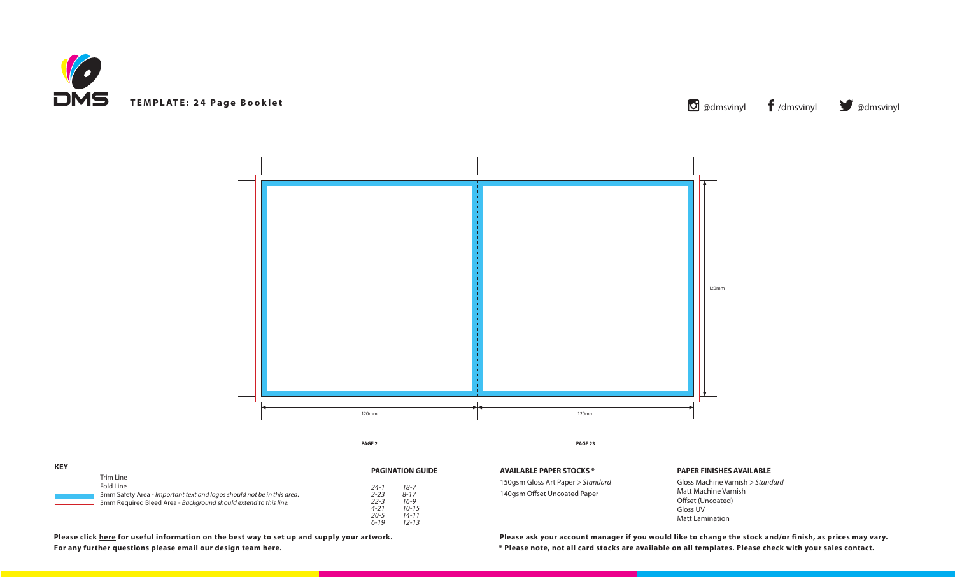



Gloss Machine Varnish *> Standard* Matt Machine Varnish Offset (Uncoated) Gloss UV Matt Lamination

**\* Please note, not all card stocks are available on all templates. Please check with your sales contact. Please click [here](https://www.discmanufacturingservices.com/cd/templates#artwork-specifications) for useful information on the best way to set up and supply your artwork. Please ask your account manager if you would like to change the stock and/or finish, as prices may vary.**

**STOCKS \*** 

| <b>KEY</b>                                                                                                                                                                        | <b>PAGINATION GUIDE</b>                                                                                                 | <b>AVAILABLE PAPER 9</b>                  |
|-----------------------------------------------------------------------------------------------------------------------------------------------------------------------------------|-------------------------------------------------------------------------------------------------------------------------|-------------------------------------------|
| Trim Line<br>Fold Line<br>---------<br>3mm Safety Area - Important text and logos should not be in this area.<br>3mm Required Bleed Area - Background should extend to this line. | $18 - 7$<br>24-1<br>$2 - 23$<br>$8 - 17$<br>22-3<br>$16 - 9$<br>$4 - 21$<br>$10 - 15$<br>20-5<br>14-11<br>12-13<br>6-19 | 150gsm Gloss Art Pa<br>140gsm Offset Unco |

**For any further questions please email our design team [here](mailto:graphics%40discmanufacturingservices.com?subject=Template%20Enquiry).**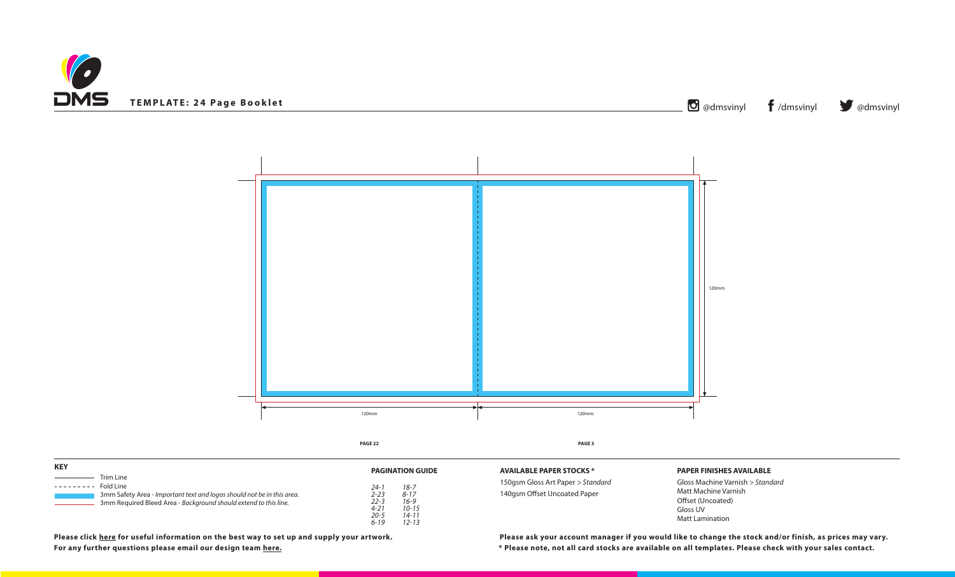



# **PAPER FINISHES AVAILABLE**

Gloss Machine Varnish *> Standard* Matt Machine Varnish Offset (Uncoated) Gloss UV Matt Lamination

**\* Please note, not all card stocks are available on all templates. Please check with your sales contact. Please click [here](https://www.discmanufacturingservices.com/cd/templates#artwork-specifications) for useful information on the best way to set up and supply your artwork. Please ask your account manager if you would like to change the stock and/or finish, as prices may vary.**

**STOCKS \*** 

| <b>KEY</b>                                                                                                                                                                | <b>PAGINATION GUIDE</b>                                                                                                         | <b>AVAILABLE PAPERS</b>                    |
|---------------------------------------------------------------------------------------------------------------------------------------------------------------------------|---------------------------------------------------------------------------------------------------------------------------------|--------------------------------------------|
| Trim Line<br>Fold Line<br>.<br>3mm Safety Area - Important text and logos should not be in this area.<br>3mm Required Bleed Area - Background should extend to this line. | $18 - 7$<br>24-1<br>2-23<br>$8 - 17$<br>$22 - 3$<br>$16 - 9$<br>$10 - 15$<br>4-21<br>$20 - 5$<br>14-11<br>$12 - 13$<br>$6 - 19$ | 150gsm Gloss Art Pa<br>140gsm Offset Uncoa |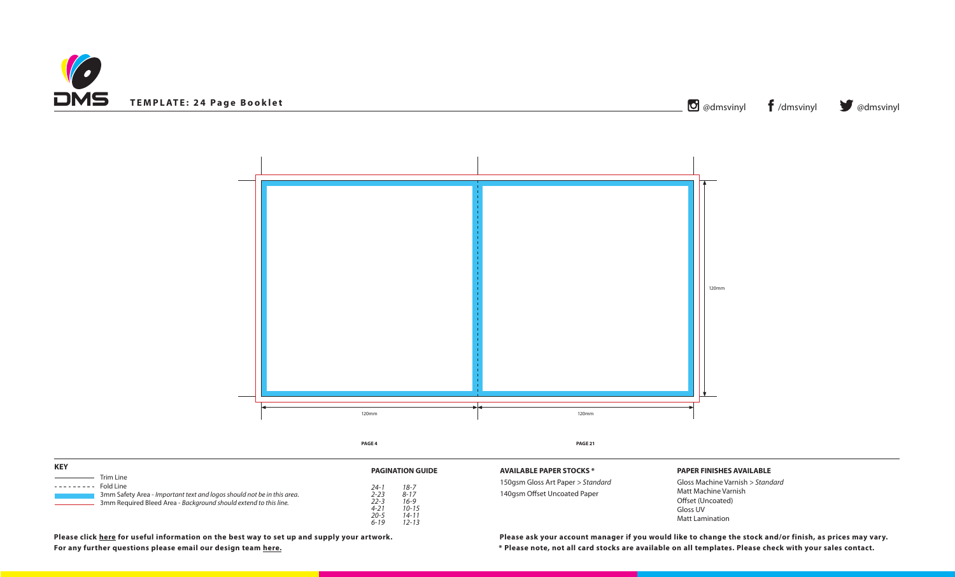



Gloss Machine Varnish *> Standard* Matt Machine Varnish Offset (Uncoated) Gloss UV Matt Lamination

**\* Please note, not all card stocks are available on all templates. Please check with your sales contact. Please click [here](https://www.discmanufacturingservices.com/cd/templates#artwork-specifications) for useful information on the best way to set up and supply your artwork. Please ask your account manager if you would like to change the stock and/or finish, as prices may vary.**

**STOCKS \*** 

| <b>KEY</b>                                                                                                                                                                |                                                                                                                                                                    | <b>AVAILABLE PAPER 9</b>                  |
|---------------------------------------------------------------------------------------------------------------------------------------------------------------------------|--------------------------------------------------------------------------------------------------------------------------------------------------------------------|-------------------------------------------|
| Trim Line<br>Fold Line<br>.<br>3mm Safety Area - Important text and logos should not be in this area.<br>3mm Required Bleed Area - Background should extend to this line. | <b>PAGINATION GUIDE</b><br>$18 - 7$<br>24-1<br>$2 - 23$<br>$8 - 17$<br>$22 - 3$<br>$16 - 9$<br>$4 - 21$<br>$10 - 15$<br>20-5<br>$14 - 11$<br>$12 - 13$<br>$6 - 19$ | 150gsm Gloss Art Pa<br>140gsm Offset Unco |

**For any further questions please email our design team [here](mailto:graphics%40discmanufacturingservices.com?subject=Template%20Enquiry).**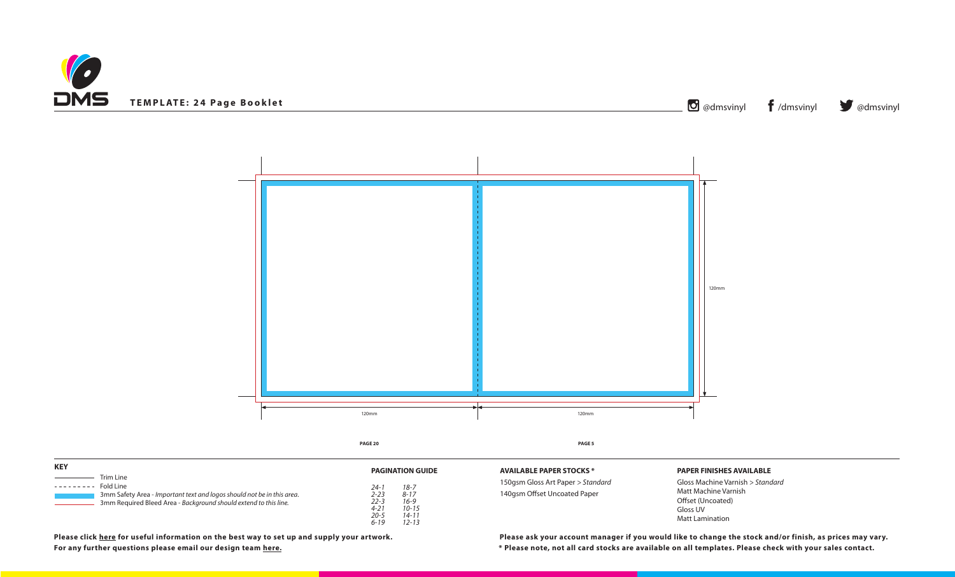



**STOCKS \*** 

# **PAPER FINISHES AVAILABLE**

Gloss Machine Varnish *> Standard* Matt Machine Varnish Offset (Uncoated) Gloss UV Matt Lamination

**\* Please note, not all card stocks are available on all templates. Please check with your sales contact. Please click [here](https://www.discmanufacturingservices.com/cd/templates#artwork-specifications) for useful information on the best way to set up and supply your artwork. Please ask your account manager if you would like to change the stock and/or finish, as prices may vary.**

| <b>KEY</b>                                                                                                                                                                        | <b>PAGINATION GUIDE</b>                                                                                                             | <b>AVAILABLE PAPERS</b>                    |
|-----------------------------------------------------------------------------------------------------------------------------------------------------------------------------------|-------------------------------------------------------------------------------------------------------------------------------------|--------------------------------------------|
| Trim Line<br>Fold Line<br>---------<br>3mm Safety Area - Important text and logos should not be in this area.<br>3mm Required Bleed Area - Background should extend to this line. | $18 - 7$<br>24-1<br>$2 - 23$<br>$8 - 17$<br>$16 - 9$<br>$22 - 3$<br>$10 - 15$<br>$4 - 21$<br>$20 - 5$<br>14-11<br>$12 - 13$<br>6-19 | 150gsm Gloss Art Pa<br>140gsm Offset Uncoa |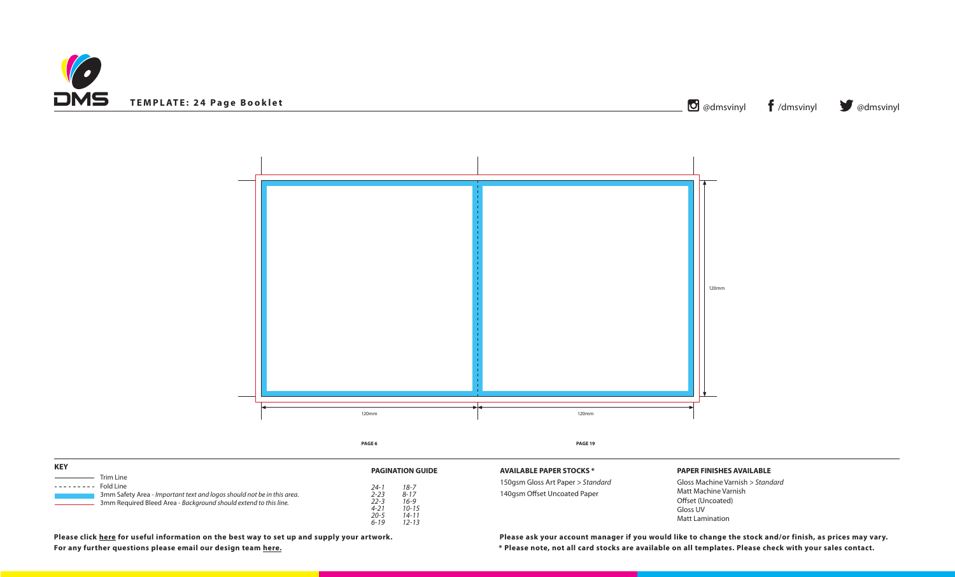



| <b>KEY</b>                                                                                                                                                                |                                                                                                                                                                    | <b>AVAILABLE PAPER</b>                    |
|---------------------------------------------------------------------------------------------------------------------------------------------------------------------------|--------------------------------------------------------------------------------------------------------------------------------------------------------------------|-------------------------------------------|
| Trim Line<br>Fold Line<br>.<br>3mm Safety Area - Important text and logos should not be in this area.<br>3mm Required Bleed Area - Background should extend to this line. | <b>PAGINATION GUIDE</b><br>$18 - 7$<br>24-1<br>$2 - 23$<br>$8 - 17$<br>$22 - 3$<br>$16 - 9$<br>$4 - 21$<br>$10 - 15$<br>$20 - 5$<br>$14 - 11$<br>$12 - 13$<br>6-19 | 150gsm Gloss Art Pa<br>140gsm Offset Unco |

Gloss Machine Varnish *> Standard* Matt Machine Varnish Offset (Uncoated) Gloss UV Matt Lamination

**\* Please note, not all card stocks are available on all templates. Please check with your sales contact. Please click [here](https://www.discmanufacturingservices.com/cd/templates#artwork-specifications) for useful information on the best way to set up and supply your artwork. Please ask your account manager if you would like to change the stock and/or finish, as prices may vary.**

**STOCKS \*** 

**For any further questions please email our design team [here](mailto:graphics%40discmanufacturingservices.com?subject=Template%20Enquiry).**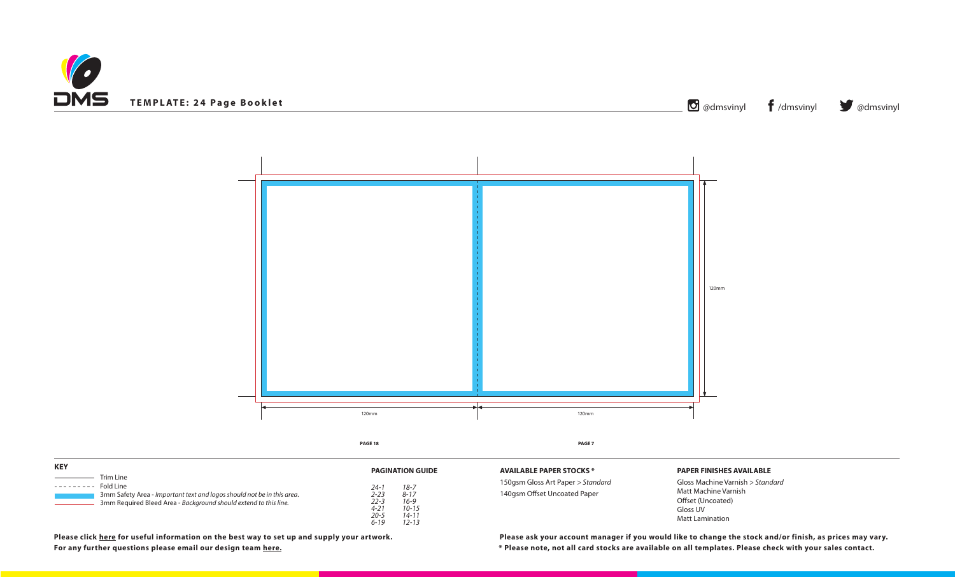



| <b>KEY</b>                                                                                                                                                                        | <b>PAGINATION GUIDE</b>                                                                                                                 | <b>AVAILABLE PAPER S</b>                    |
|-----------------------------------------------------------------------------------------------------------------------------------------------------------------------------------|-----------------------------------------------------------------------------------------------------------------------------------------|---------------------------------------------|
| Trim Line<br>Fold Line<br>---------<br>3mm Safety Area - Important text and logos should not be in this area.<br>3mm Required Bleed Area - Background should extend to this line. | $18 - 7$<br>$24 - 1$<br>$2 - 23$<br>$8 - 17$<br>$22 - 3$<br>$16 - 9$<br>$4 - 21$<br>$10 - 15$<br>$20 - 5$<br>14-11<br>12-13<br>$6 - 19$ | 150gsm Gloss Art Pap<br>140gsm Offset Uncoa |

# **PAPER FINISHES AVAILABLE**

Gloss Machine Varnish *> Standard* Matt Machine Varnish Offset (Uncoated) Gloss UV Matt Lamination

**\* Please note, not all card stocks are available on all templates. Please check with your sales contact. Please click [here](https://www.discmanufacturingservices.com/cd/templates#artwork-specifications) for useful information on the best way to set up and supply your artwork. Please ask your account manager if you would like to change the stock and/or finish, as prices may vary.**

**ATOCKS** \*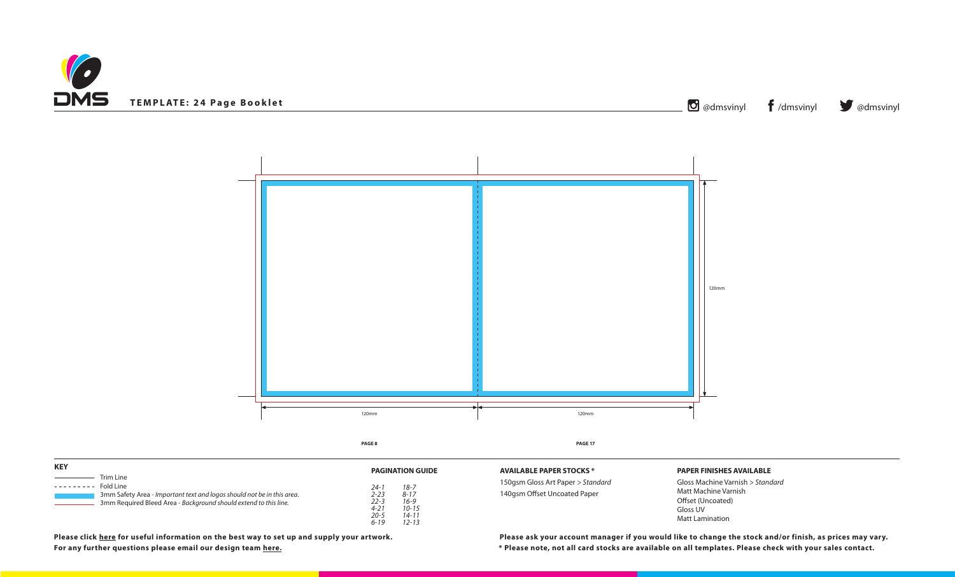



| <b>KEY</b>                                                                                                                                                                |                                                                                                                                                                    | <b>AVAILABLE PAPER</b>                    |
|---------------------------------------------------------------------------------------------------------------------------------------------------------------------------|--------------------------------------------------------------------------------------------------------------------------------------------------------------------|-------------------------------------------|
| Trim Line<br>Fold Line<br>.<br>3mm Safety Area - Important text and logos should not be in this area.<br>3mm Required Bleed Area - Background should extend to this line. | <b>PAGINATION GUIDE</b><br>$18 - 7$<br>24-1<br>$2 - 23$<br>$8 - 17$<br>$22 - 3$<br>$16 - 9$<br>$4 - 21$<br>$10 - 15$<br>$20 - 5$<br>$14 - 11$<br>$12 - 13$<br>6-19 | 150gsm Gloss Art Pa<br>140gsm Offset Unco |

Gloss Machine Varnish *> Standard* Matt Machine Varnish Offset (Uncoated) Gloss UV Matt Lamination

**\* Please note, not all card stocks are available on all templates. Please check with your sales contact. Please click [here](https://www.discmanufacturingservices.com/cd/templates#artwork-specifications) for useful information on the best way to set up and supply your artwork. Please ask your account manager if you would like to change the stock and/or finish, as prices may vary.**

**STOCKS \*** 

**For any further questions please email our design team [here](mailto:graphics%40discmanufacturingservices.com?subject=Template%20Enquiry).**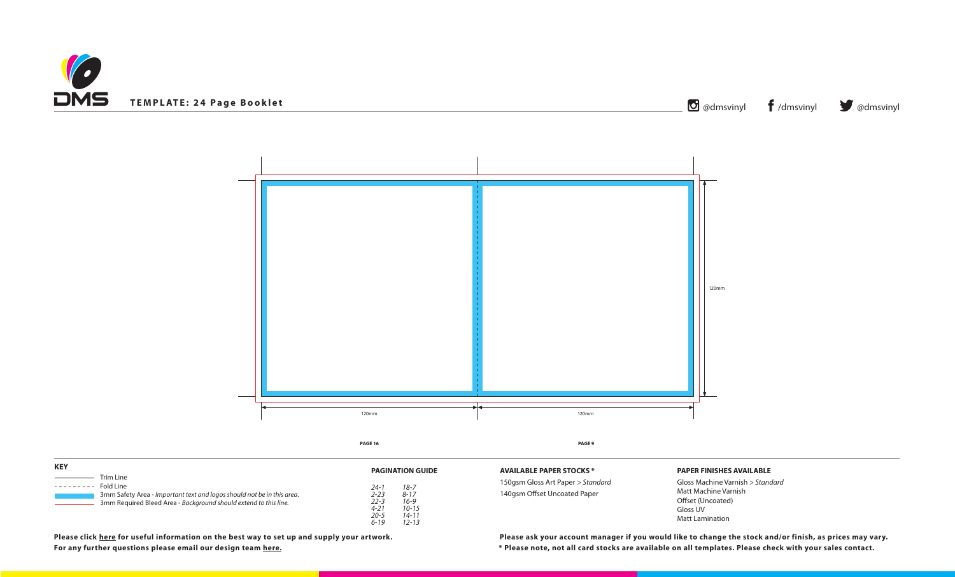



| <b>KEY</b>                                                                                                                                                                         | <b>PAGINATION GUIDE</b>                                                                                                                     | <b>AVAILABLE PAPER S</b>                    |
|------------------------------------------------------------------------------------------------------------------------------------------------------------------------------------|---------------------------------------------------------------------------------------------------------------------------------------------|---------------------------------------------|
| Trim Line<br>Fold Line<br>. <u>.</u><br>3mm Safety Area - Important text and logos should not be in this area.<br>3mm Required Bleed Area - Background should extend to this line. | $18 - 7$<br>24-1<br>$2 - 23$<br>$8 - 17$<br>$22 - 3$<br>$16 - 9$<br>$4 - 21$<br>$10 - 15$<br>$20 - 5$<br>$14 - 11$<br>$12 - 13$<br>$6 - 19$ | 150gsm Gloss Art Pap<br>140gsm Offset Uncoa |

# **PAPER FINISHES AVAILABLE**

Gloss Machine Varnish *> Standard* Matt Machine Varnish Offset (Uncoated) Gloss UV Matt Lamination

**\* Please note, not all card stocks are available on all templates. Please check with your sales contact. Please click [here](https://www.discmanufacturingservices.com/cd/templates#artwork-specifications) for useful information on the best way to set up and supply your artwork. Please ask your account manager if you would like to change the stock and/or finish, as prices may vary.**

**ATOCKS** \*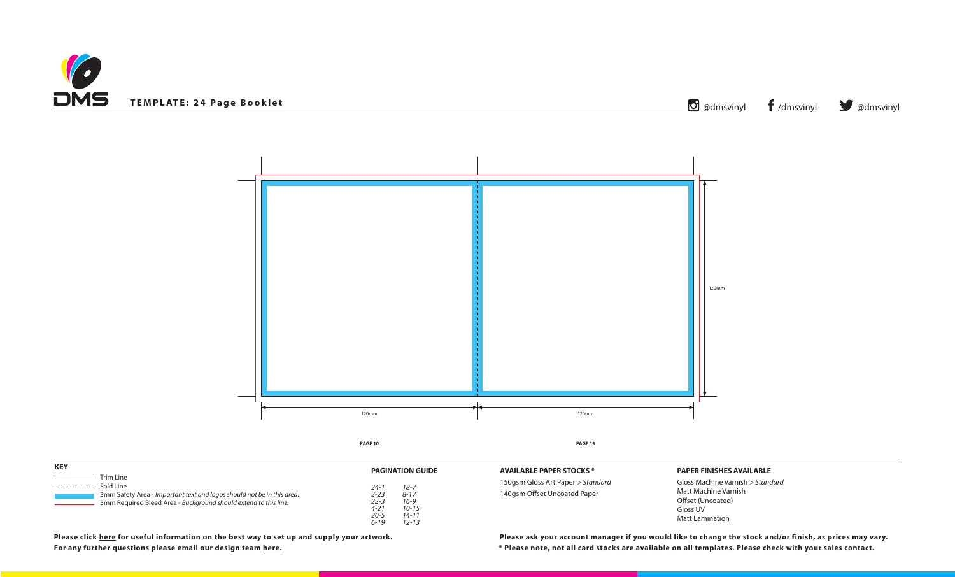



| <b>KEY</b>                                                                                                                                                                        |                                                                                                                                                            |                                                                        |
|-----------------------------------------------------------------------------------------------------------------------------------------------------------------------------------|------------------------------------------------------------------------------------------------------------------------------------------------------------|------------------------------------------------------------------------|
| Trim Line<br>Fold Line<br>---------<br>3mm Safety Area - Important text and logos should not be in this area.<br>3mm Required Bleed Area - Background should extend to this line. | <b>PAGINATION GUIDE</b><br>$18 - 7$<br>24-1<br>$2 - 23$<br>$8 - 17$<br>$16 - 9$<br>$22 - 3$<br>$4 - 21$<br>$10 - 15$<br>20-5<br>14-11<br>$12 - 13$<br>6-19 | <b>AVAILABLE PAPER S</b><br>150gsm Gloss Art Pa<br>140gsm Offset Uncoa |

# **PAPER FINISHES AVAILABLE**

Gloss Machine Varnish *> Standard* Matt Machine Varnish Offset (Uncoated) Gloss UV Matt Lamination

**\* Please note, not all card stocks are available on all templates. Please check with your sales contact. Please click [here](https://www.discmanufacturingservices.com/cd/templates#artwork-specifications) for useful information on the best way to set up and supply your artwork. Please ask your account manager if you would like to change the stock and/or finish, as prices may vary.**

**ATOCKS** \*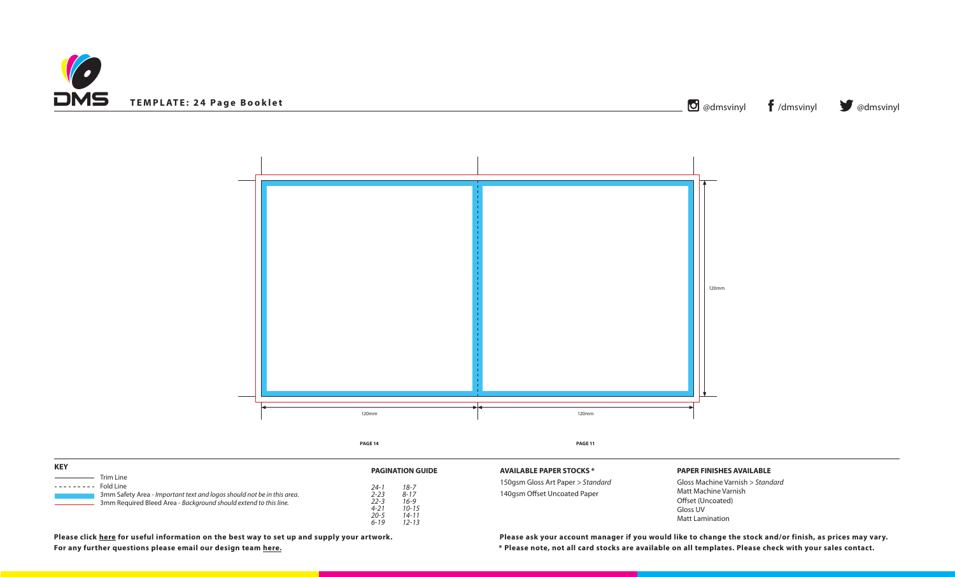



**STOCKS \*** 

| <b>KEY</b>                                                                                                                                                                         | <b>PAGINATION GUIDE</b>                                                           | <b>AVAILABLE PAPERS</b>                    |
|------------------------------------------------------------------------------------------------------------------------------------------------------------------------------------|-----------------------------------------------------------------------------------|--------------------------------------------|
| Trim Line<br>Fold Line<br>. <u>.</u><br>3mm Safety Area - Important text and logos should not be in this area.<br>3mm Required Bleed Area - Background should extend to this line. | $18 - 7$<br>24-1<br>2-23<br>$8 - 17$<br>22-3<br>$16 - 9$<br>$4 - 21$<br>$10 - 15$ | 150gsm Gloss Art Pa<br>140gsm Offset Uncoa |
|                                                                                                                                                                                    | $20 - 5$<br>$14 - 11$<br>12-13<br>6-19                                            |                                            |

# **PAPER FINISHES AVAILABLE**

Gloss Machine Varnish *> Standard* Matt Machine Varnish Offset (Uncoated) Gloss UV Matt Lamination

**\* Please note, not all card stocks are available on all templates. Please check with your sales contact. Please click [here](https://www.discmanufacturingservices.com/cd/templates#artwork-specifications) for useful information on the best way to set up and supply your artwork. Please ask your account manager if you would like to change the stock and/or finish, as prices may vary.**